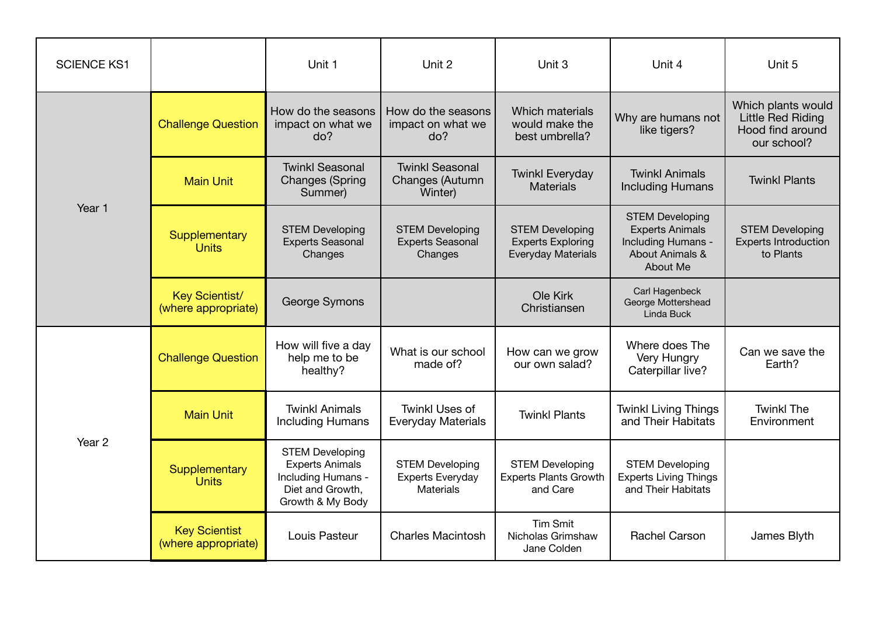| <b>SCIENCE KS1</b> |                                             | Unit 1                                                                                                         | Unit 2                                                       | Unit 3                                                                   | Unit 4                                                                                                | Unit 5                                                                     |
|--------------------|---------------------------------------------|----------------------------------------------------------------------------------------------------------------|--------------------------------------------------------------|--------------------------------------------------------------------------|-------------------------------------------------------------------------------------------------------|----------------------------------------------------------------------------|
| Year 1             | <b>Challenge Question</b>                   | How do the seasons<br>impact on what we<br>do?                                                                 | How do the seasons<br>impact on what we<br>do?               | <b>Which materials</b><br>would make the<br>best umbrella?               | Why are humans not<br>like tigers?                                                                    | Which plants would<br>Little Red Riding<br>Hood find around<br>our school? |
|                    | <b>Main Unit</b>                            | <b>Twinkl Seasonal</b><br><b>Changes (Spring</b><br>Summer)                                                    | <b>Twinkl Seasonal</b><br>Changes (Autumn<br>Winter)         | <b>Twinkl Everyday</b><br><b>Materials</b>                               | <b>Twinkl Animals</b><br><b>Including Humans</b>                                                      | <b>Twinkl Plants</b>                                                       |
|                    | Supplementary<br><b>Units</b>               | <b>STEM Developing</b><br><b>Experts Seasonal</b><br>Changes                                                   | <b>STEM Developing</b><br><b>Experts Seasonal</b><br>Changes | <b>STEM Developing</b><br><b>Experts Exploring</b><br>Everyday Materials | <b>STEM Developing</b><br><b>Experts Animals</b><br>Including Humans -<br>About Animals &<br>About Me | <b>STEM Developing</b><br><b>Experts Introduction</b><br>to Plants         |
|                    | Key Scientist/<br>(where appropriate)       | George Symons                                                                                                  |                                                              | Ole Kirk<br>Christiansen                                                 | Carl Hagenbeck<br>George Mottershead<br>Linda Buck                                                    |                                                                            |
| Year 2             | <b>Challenge Question</b>                   | How will five a day<br>help me to be<br>healthy?                                                               | What is our school<br>made of?                               | How can we grow<br>our own salad?                                        | Where does The<br>Very Hungry<br>Caterpillar live?                                                    | Can we save the<br>Earth?                                                  |
|                    | <b>Main Unit</b>                            | <b>Twinkl Animals</b><br><b>Including Humans</b>                                                               | <b>Twinkl Uses of</b><br><b>Everyday Materials</b>           | <b>Twinkl Plants</b>                                                     | <b>Twinkl Living Things</b><br>and Their Habitats                                                     | <b>Twinkl The</b><br>Environment                                           |
|                    | Supplementary<br><b>Units</b>               | <b>STEM Developing</b><br><b>Experts Animals</b><br>Including Humans -<br>Diet and Growth,<br>Growth & My Body | <b>STEM Developing</b><br>Experts Everyday<br>Materials      | <b>STEM Developing</b><br><b>Experts Plants Growth</b><br>and Care       | <b>STEM Developing</b><br><b>Experts Living Things</b><br>and Their Habitats                          |                                                                            |
|                    | <b>Key Scientist</b><br>(where appropriate) | Louis Pasteur                                                                                                  | <b>Charles Macintosh</b>                                     | <b>Tim Smit</b><br>Nicholas Grimshaw<br>Jane Colden                      | <b>Rachel Carson</b>                                                                                  | James Blyth                                                                |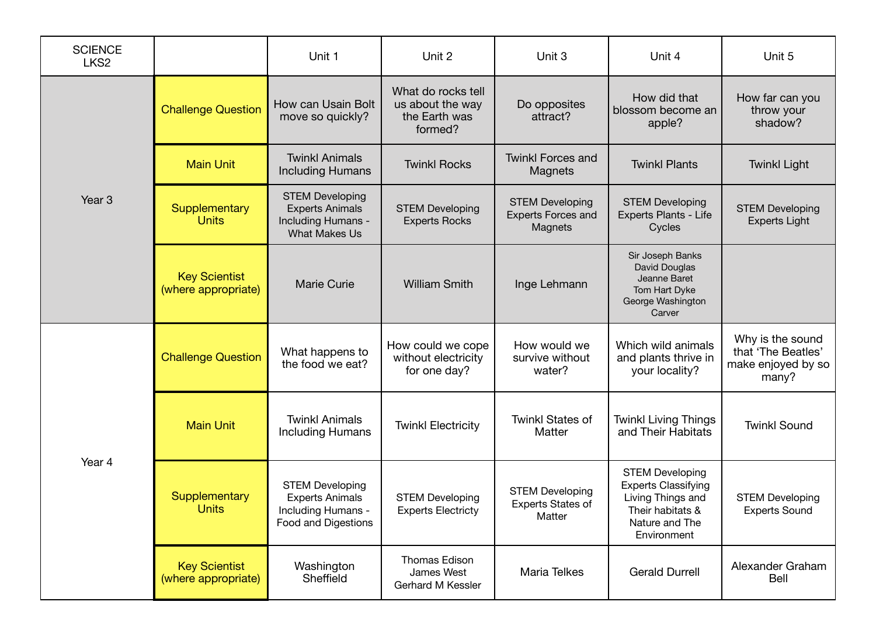| <b>SCIENCE</b><br>LKS <sub>2</sub> |                                             | Unit 1                                                                                         | Unit 2                                                             | Unit 3                                                         | Unit 4                                                                                                                         | Unit 5                                                                |
|------------------------------------|---------------------------------------------|------------------------------------------------------------------------------------------------|--------------------------------------------------------------------|----------------------------------------------------------------|--------------------------------------------------------------------------------------------------------------------------------|-----------------------------------------------------------------------|
| Year <sub>3</sub>                  | <b>Challenge Question</b>                   | How can Usain Bolt<br>move so quickly?                                                         | What do rocks tell<br>us about the way<br>the Earth was<br>formed? | Do opposites<br>attract?                                       | How did that<br>blossom become an<br>apple?                                                                                    | How far can you<br>throw your<br>shadow?                              |
|                                    | <b>Main Unit</b>                            | <b>Twinkl Animals</b><br><b>Including Humans</b>                                               | <b>Twinkl Rocks</b>                                                | <b>Twinkl Forces and</b><br>Magnets                            | <b>Twinkl Plants</b>                                                                                                           | <b>Twinkl Light</b>                                                   |
|                                    | Supplementary<br><b>Units</b>               | <b>STEM Developing</b><br><b>Experts Animals</b><br>Including Humans -<br><b>What Makes Us</b> | <b>STEM Developing</b><br><b>Experts Rocks</b>                     | <b>STEM Developing</b><br><b>Experts Forces and</b><br>Magnets | <b>STEM Developing</b><br>Experts Plants - Life<br>Cycles                                                                      | <b>STEM Developing</b><br><b>Experts Light</b>                        |
|                                    | <b>Key Scientist</b><br>(where appropriate) | <b>Marie Curie</b>                                                                             | <b>William Smith</b>                                               | Inge Lehmann                                                   | Sir Joseph Banks<br>David Douglas<br>Jeanne Baret<br>Tom Hart Dyke<br>George Washington<br>Carver                              |                                                                       |
| Year 4                             | <b>Challenge Question</b>                   | What happens to<br>the food we eat?                                                            | How could we cope<br>without electricity<br>for one day?           | How would we<br>survive without<br>water?                      | Which wild animals<br>and plants thrive in<br>your locality?                                                                   | Why is the sound<br>that 'The Beatles'<br>make enjoyed by so<br>many? |
|                                    | <b>Main Unit</b>                            | <b>Twinkl Animals</b><br>Including Humans                                                      | <b>Twinkl Electricity</b>                                          | <b>Twinkl States of</b><br>Matter                              | <b>Twinkl Living Things</b><br>and Their Habitats                                                                              | <b>Twinkl Sound</b>                                                   |
|                                    | Supplementary<br><b>Units</b>               | <b>STEM Developing</b><br><b>Experts Animals</b><br>Including Humans -<br>Food and Digestions  | <b>STEM Developing</b><br><b>Experts Electricty</b>                | <b>STEM Developing</b><br><b>Experts States of</b><br>Matter   | <b>STEM Developing</b><br><b>Experts Classifying</b><br>Living Things and<br>Their habitats &<br>Nature and The<br>Environment | <b>STEM Developing</b><br><b>Experts Sound</b>                        |
|                                    | <b>Key Scientist</b><br>(where appropriate) | Washington<br>Sheffield                                                                        | Thomas Edison<br>James West<br>Gerhard M Kessler                   | Maria Telkes                                                   | <b>Gerald Durrell</b>                                                                                                          | Alexander Graham<br>Bell                                              |